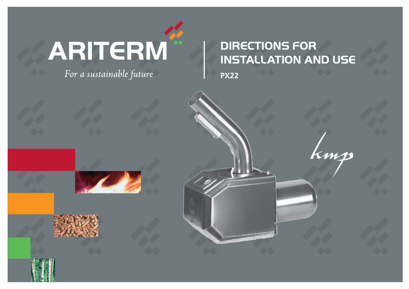# ARITERM

For a sustainable future

# DIRECTIONS FOR INSTALLATION AND US<del>C</del>

kmp

**PX22**

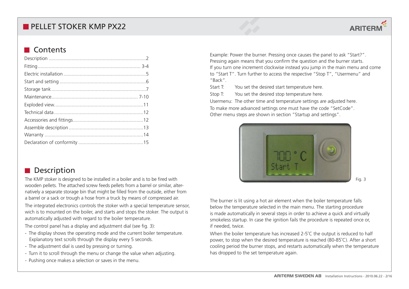## **Contents**

## **Description**

The KMP stoker is designed to be installed in a boiler and is to be fired with wooden pellets. The attached screw feeds pellets from a barrel or similar, alternatively a separate storage bin that might be filled from the outside, either from a barrel or a sack or trough a hose from a truck by means of compressed air.

The integrated electronics controls the stoker with a special temperature sensor, wich is to mounted on the boiler, and starts and stops the stoker. The output is automatically adjusted with regard to the boiler temperature.

The control panel has a display and adjustment dial (see fig. 3):

- The display shows the operating mode and the current boiler temperature. Explanatory text scrolls through the display every 5 seconds.
- The adjustment dial is used by pressing or turning.
- Turn it to scroll through the menu or change the value when adjusting.
- Pushing once makes a selection or saves in the menu.

Example: Power the burner. Pressing once causes the panel to ask "Start?". Pressing again means that you confirm the question and the burner starts. If you turn one increment clockwise instead you jump in the main menu and come to "Start T". Turn further to access the respective "Stop T", "Usermenu" and "Back".

Start T: You set the desired start temperature here.

Stop T: You set the desired stop temperature here.

Usermenu: The other time and temperature settings are adjusted here. To make more advanced settings one must have the code "SetCode". Other menu steps are shown in section "Startup and settings".



Fig. 3

The burner is lit using a hot air element when the boiler temperature falls below the temperature selected in the main menu. The starting procedure is made automatically in several steps in order to achieve a quick and virtually smokeless startup. In case the ignition fails the procedure is repeated once or, if needed, twice.

When the boiler temperature has increased 2-5°C the output is reduced to half power, to stop when the desired temperature is reached (80-85˚C). After a short cooling period the burner stops, and restarts automatically when the temperature has dropped to the set temperature again.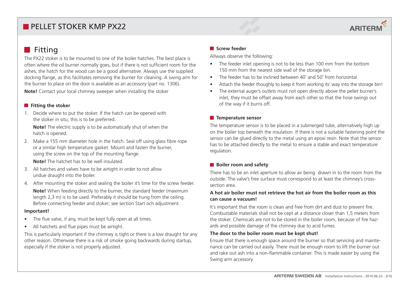# **ARITERM**

## $\blacksquare$  Fitting

The PX22 stoker is to be mounted to one of the boiler hatches. The best place is often where the oil burner normally goes, but if there is not sufficient room for the ashes, the hatch for the wood can be a good alternative. Always use the supplied docking flange, as this facilitates removing the burner for cleaning. A swing arm for the burner to place on the door is available as an accessory (part no. 1306).

**Note!** Contact your local chimney sweeper when installing the stoker

#### **Fitting the stoker**

1. Decide where to put the stoker. If the hatch can be opened with the stoker in situ, this is to be preferred.

**Note!** The electric supply is to be automatically shut of when the hatch is opened.

2. Make a 155 mm diameter hole in the hatch. Seal off using glass fibre rope or a similar high temperature gasket. Mount and fasten the burner, using the screw on the top of the mounting flange.

**Note!** The hatchet has to be well insulated.

- 3. All hatches and valves have to be airtight in order to not allow undue draught into the boiler.
- 4. After mounting the stoker and sealing the boiler it's time for the screw feeder.

**Note!** When feeding directly to the burner, the standard feeder (maximum length 2,3 m) is to be used. Preferably it should be hung from the ceiling. Before connecting feeder and stoker; see section Start och adjustment.

#### **Important!**

- The flue valve, if any, must be kept fully open at all times.
- All hatchets and flue pipes must be airtight.

This is particularly important if the chimney is tight or there is a low draught for any other reason. Otherwise there is a risk of smoke going backwards during startup, especially if the stoker is not properly adjusted.

#### **Screw feeder**

Allways observe the following:

- $\bullet$  The feeder inlet opening is not to be less than 100 mm from the bottom 150 mm from the nearest side wall of the storage bin.
- $\bullet$ The feeder has to be inclined between 40˚ and 50˚ from horizontal.
- $\bullet$ Attach the feeder thoughly to keep it from working its' way into the storage bin!
- $\bullet$  The external auger's outlets must not open directly above the pellet burner's inlet, they must be offset away from each other so that the hose swings out of the way if it burns off.

#### **Temperature sensor**

The temperature sensor is to be placed in a submerged tube, alternatively high up on the boiler top beneath the insulation. If there is not a suitable fastening point the sensor can be glued directly to the metal using an epoxi resin. Note that the sensor has to be attached directly to the metal to ensure a stable and exact temperature regulation.

#### **Boiler room and safety**

There has to be an inlet aperture to allow air being drawn in to the room from the outside. The valve's free surface must correspond to at least the chimney's crosssection area.

#### **A hot air boiler must not retrieve the hot air from the boiler room as this can cause a vacuum!**

It's important that the room is clean and free from dirt and dust to prevent fire. Combustable materials shall not be cept at a distance closer than 1,5 meters from the stoker. Chemicals are not to be stored in the boiler room, because of fire hazards and possible damage of the chimney due to acid fumes.

#### **The door to the boiler room must be kept shut!**

Ensure that there is enough space around the burner so that servicing and maintenance can be carried out easily. There must be enough room to lift the burner out and rake out ash into a non-flammable container. This is made easier by using the Swing arm accessory.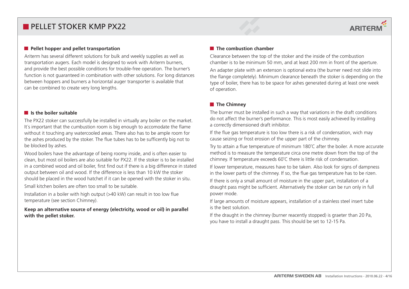#### **Pellet hopper and pellet transportation**

Ariterm has several different solutions for bulk and weekly supplies as well as transportation augers. Each model is designed to work with Ariterm burners, and provide the best possible conditions for trouble-free operation. The burner's function is not guaranteed in combination with other solutions. For long distances between hoppers and burners a horizontal auger transporter is available that can be combined to create very long lengths.

#### **I** Is the boiler suitable

The PX22 stoker can successfully be installed in virtually any boiler on the market. It´s important that the cumbustion room is big enough to accomodate the flame without it touching any watercooled areas. There also has to be ample room for the ashes produced by the stoker. The flue tubes has to be sufficently big not to be blocked by ashes.

Wood boilers have the advantage of being roomy inside, and is often easier to clean, but most oil boilers are also suitable for PX22. If the stoker is to be installed in a combined wood and oil boiler, first find out if there is a big difference in stated output between oil and wood. If the difference is less than 10 kW the stoker should be placed in the wood hatchet if it can be opened with the stoker in situ.

Small kitchen boilers are often too small to be suitable.

Installation in a boiler with high output (>40 kW) can result in too low flue temperature (see section Chimney).

**Keep an alternative source of energy (electricity, wood or oil) in parallel with the pellet stoker.** 

#### **The combustion chamber**

Clearance between the top of the stoker and the inside of the combustion chamber is to be minimum 50 mm, and at least 200 mm in front of the aperture. An adapter plate with an extenson is optional extra (the burner need not slide into the flange completely). Minimum clearance beneath the stoker is depending on the type of boiler, there has to be space for ashes generated during at least one week of operation.

**ARITERM** 

#### **The Chimney**

The burner must be installed in such a way that variations in the draft conditions do not affect the burner's performance. This is most easily achieved by installing a correctly dimensioned draft inhibitor.

If the flue gas temperature is too low there is a risk of condensation, wich may cause seizing or frost erosion of the upper part of the chimney.

Try to attain a flue temperature of minimum 180˚C after the boiler. A more accurate method is to measure the temperature circa one metre down from the top of the chimney. If temperature exceeds 60˚C there is little risk of condensation.

If lower temperature, measures have to be taken. Also look for signs of dampness in the lower parts of the chimney. If so, the flue gas temperature has to be rizen.

If there is only a small amount of moisture in the upper part, installation of a draught pass might be sufficient. Alternatively the stoker can be run only in full power mode.

If large amounts of moisture appears, installation of a stainless steel insert tube is the best solution.

If the draught in the chimney (burner reacently stopped) is graeter than 20 Pa, you have to install a draught pass. This should be set to 12-15 Pa.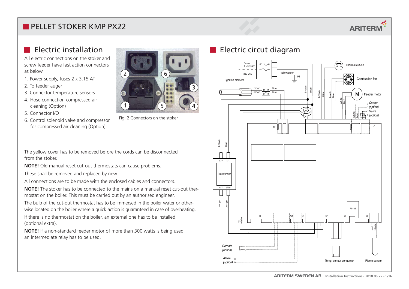# **ARITERM**

## **E** Flectric installation

All electric connections on the stoker and screw feeder have fast action connectors as below

- 1. Power supply, fuses 2 x 3.15 AT
- 2. To feeder auger
- 3. Connector temperature sensors
- 4. Hose connection compressed air cleaning (Option)
- 5. Connector I/O
- 6. Control solenoid valve and compressor for compressed air cleaning (Option)



Fig. 2 Connectors on the stoker.

The yellow cover has to be removed before the cords can be disconnected from the stoker.

**NOTE!** Old manual reset cut-out thermostats can cause problems.

These shall be removed and replaced by new.

All connections are to be made with the enclosed cables and connectors.

**NOTE!** The stoker has to be connected to the mains on a manual reset cut-out thermostat on the boiler. This must be carried out by an authorised engineer.

The bulb of the cut-out thermostat has to be immersed in the boiler water or otherwise located on the boiler where a quick action is guaranteed in case of overheating.

If there is no thermostat on the boiler, an external one has to be installed (optional extra).

**NOTE!** If a non-standard feeder motor of more than 300 watts is being used, an intermediate relay has to be used.

## **Electric circut diagram**

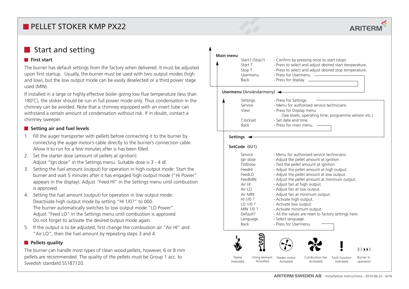## **First start**

The burner has default settings from the factory when delivered. It must be adjusted upon first startup. Usually, the burner must be used with two output modes (high and low), but the low output mode can be easily deselected or a third power stage used (MIN).

If installed in a large or highly effective boiler giving low flue temperature (less than 180˚C), the stoker should be run in full power mode only. Thus condensation in the chimney can be avoided. Note that a chimney equipped with an insert tube can withstand a certain amount of condensation without risk. If in doubt, contact a chimney sweeper.

#### **F** Setting air and fuel levels

- 1. Fill the auger transporter with pellets before connecting it to the burner by connecting the auger motor's cable directly to the burner's connection cable. Allow it to run for a few minutes after is has been filled.
- 2. Set the starter dose (amount of pellets at ignition): Adjust "Ign dose" in the Settings menu. Suitable dose is 3 - 4 dl.
- 3. Setting the fuel amount (output) for operation in high output mode: Start the burner and wait 5 minutes after it has engaged high output mode ("Hi Power" appears in the display). Adjust "Feed HI" in the Settings menu until combustion is approved.
- 4. Setting the fuel amount (output) for operation in low output mode: Deactivate high output mode by setting "HI 1/0?" to 000. The burner automatically switches to low output mode "LO Power". Adjust "Feed LO" in the Settings menu until combustion is approved. Do not forget to activate the desired output mode again.
- 5. If the output is to be adjusted, first change the combustion air "Air HI" and "Air LO", then the fuel amount by repeating steps 3 and 4.

#### **Pellets quality**

The burner can handle most types of clean wood pellets, however, 6 or 8 mm pellets are recommended. The quality of the pellets must be Group 1 acc. to Swedish standard SS187120.



**ARITERM**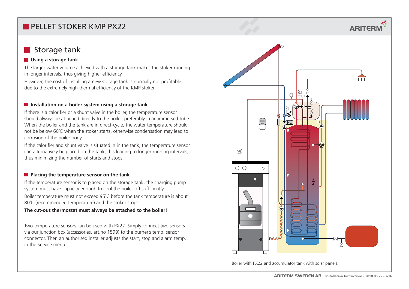## Storage tank

### *Using a storage tank*

The larger water volume achieved with a storage tank makes the stoker running in longer intervals, thus giving higher efficiency.

However, the cost of installing a new storage tank is normally not profitable due to the extremely high thermal efficiency of the KMP stoker.

#### $\blacksquare$  Installation on a boiler system using a storage tank

If there is a calorifier or a shunt valve in the boiler, the temperature sensor should always be attached directly to the boiler, preferably in an immersed tube. When the boiler and the tank are in direct-cycle, the water temperature should not be below 60˚C when the stoker starts, otherwise condensation may lead to corrosion of the boiler body.

If the calorifier and shunt valve is situated in in the tank, the temperature sensor can alternatively be placed on the tank, this leading to longer running intervals, thus minimizing the number of starts and stops.

#### **Placing the temperature sensor on the tank**

If the temperature sensor is to placed on the storage tank, the charging pump system must have capacity enough to cool the boiler off sufficiently.

Boiler temperature must not exceed 95˚C before the tank temperature is about 80°C (recommended temperature) and the stoker stops.

#### **The cut-out thermostat must always be attached to the boiler!**

Two temperature sensors can be used with PX22. Simply connect two sensors via our junction box (accessories, art.no 1599) to the burner's temp. sensor connector. Then an authorised installer adjusts the start, stop and alarm temp. in the Service menu.



**ARITERM** 

 $\overline{111111}$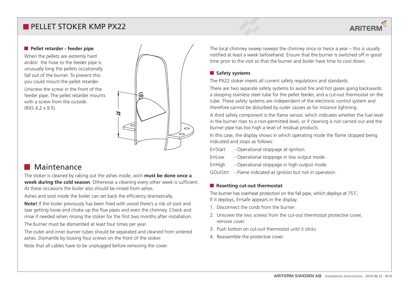#### **Pellet retarder - feeder pipe**

When the pellets are extremly hard and/or the hose to the feeder pipe is unusually long the pellets occationally fall out of the burner. To prevent this you could mount the pellet retarder.

Unscrew the screw in the front of the feeder pipe. The pellet retarder mounts with a screw from the outside. (RXS 4,2 x 9,5).



## Maintenance

The stoker is cleaned by raking out the ashes inside, wich **must be done once a week during the cold season**. Otherwise a cleaning every other week is sufficient. At these occasions the boiler also should be rinsed from ashes.

Ashes and soot inside the boiler can set back the efficiency dramatically.

**Note!** If the boiler previously has been fired with wood there's a risk of soot and taar getting loose and choke up the flue pipes and even the chimney. Check and rinse if needed when rinsing the stoker for the first two months after installation.

The burner must be dismantled at least four times per year.

The outer and inner burner tubes should be separated and cleaned from sintered ashes. Dismantle by loosing four screws on the front of the stoker.

Note that all cables have to be unplugged before removing the cover.

The local chimney sweep sweeps the chimney once or twice a year – this is usually notified at least a week beforehand. Ensure that the burner is switched off in good time prior to the visit so that the burner and boiler have time to cool down.

## **R** Safety systems

The PX22 stoker meets all current safety regulations and standards.

There are two separate safety systems to avoid fire and hot gases going backwards: a slooping stainless steel tube for the pellet feeder, and a cut-out thermostat on the tube. These safety systems are independent of the electronic control system and therefore cannot be disturbed by outer causes as for instance lightning.

A third safety component is the flame sensor, which indicates whether the fuel level in the burner rises to a non-permitted level, or if cleaning is not carried out and the burner pipe has too high a level of residual products.

In this case, the display shows in which operating mode the flame stopped being indicated and stops as follows:

ErrStart - Operational stoppage at ignition.

- ErrLow Operational stoppage in low output mode.
- ErrHigh Operational stoppage in high output mode.
- GOutStrt Flame indicated at ignition but not in operation.

#### **Resetting cut-out thermostat**

The burner has overheat protection on the fall pipe, which deploys at 75°C. If it deploys, Errsafe appears in the display.

- 1. Disconnect the cords from the burner.
- 2. Unscrew the two screws from the cut-out thermostat protective cover, remove cover.
- 3. Push botton on cut-out thermostat until it clicks.
- 4. Reassemble the protective cover.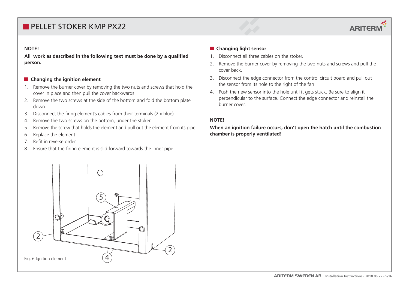# **ARITERM**

#### **NOTE!**

**All work as described in the following text must be done by a qualified person.**

#### $\blacksquare$  Changing the ignition element

- 1. Remove the burner cover by removing the two nuts and screws that hold the cover in place and then pull the cover backwards.
- 2. Remove the two screws at the side of the bottom and fold the bottom plate down.
- 3. Disconnect the firing element's cables from their terminals (2 x blue).
- 4. Remove the two screws on the bottom, under the stoker.
- 5. Remove the screw that holds the element and pull out the element from its pipe.
- 6 Replace the element.
- 7. Refit in reverse order.
- 8. Ensure that the firing element is slid forward towards the inner pipe.

#### $\blacksquare$  Changing light sensor

- 1. Disconnect all three cables on the stoker.
- 2. Remove the burner cover by removing the two nuts and screws and pull the cover back.
- 3. Disconnect the edge connector from the control circuit board and pull out the sensor from its hole to the right of the fan.
- 4. Push the new sensor into the hole until it gets stuck. Be sure to align it perpendicular to the surface. Connect the edge connector and reinstall the burner cover.

#### **NOTE!**

## **When an ignition failure occurs, don't open the hatch until the combustion chamber is properly ventilated!**

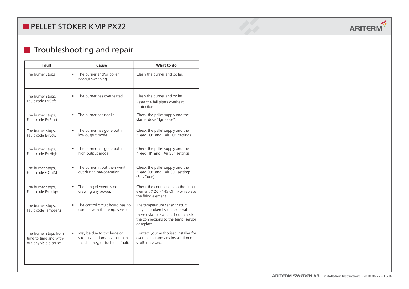## **Troubleshooting and repair**

| Fault                                                                     | Cause                                                                                                         | What to do                                                                                                                                                  |
|---------------------------------------------------------------------------|---------------------------------------------------------------------------------------------------------------|-------------------------------------------------------------------------------------------------------------------------------------------------------------|
| The burner stops                                                          | The burner and/or boiler<br>$\bullet$<br>need(s) sweeping.                                                    | Clean the burner and boiler.                                                                                                                                |
| The burner stops,<br>Fault code ErrSafe                                   | The burner has overheated.<br>$\bullet$                                                                       | Clean the burner and boiler.<br>Reset the fall pipe's overheat<br>protection.                                                                               |
| The burner stops,<br>Fault code ErrStart                                  | The burner has not lit.                                                                                       | Check the pellet supply and the<br>starter dose "Ign dose".                                                                                                 |
| The burner stops,<br>Fault code ErrLow                                    | The burner has gone out in<br>$\bullet$<br>low output mode.                                                   | Check the pellet supply and the<br>"Feed LO" and "Air LO" settings.                                                                                         |
| The burner stops,<br>Fault code ErrHigh                                   | The burner has gone out in<br>high output mode.                                                               | Check the pellet supply and the<br>"Feed HI" and "Air Su" settings.                                                                                         |
| The burner stops,<br>Fault code GOutStrt                                  | The burner lit but then went<br>out during pre-operation.                                                     | Check the pellet supply and the<br>"Feed SU" and "Air Su" settings.<br>(ServCode)                                                                           |
| The burner stops,<br>Fault code Errorlgn                                  | The firing element is not<br>$\bullet$<br>drawing any power.                                                  | Check the connections to the firing<br>element (120 - 145 Ohm) or replace<br>the firing element.                                                            |
| The burner stops,<br>Fault code Tempsens                                  | The control circuit board has no<br>contact with the temp. sensor.                                            | The temperature sensor circuit<br>may be broken by the external<br>thermostat or switch. If not, check<br>the connections to the temp. sensor<br>or replace |
| The burner stops from<br>time to time and with-<br>out any visible cause. | May be due to too large or<br>$\bullet$<br>strong variations in vacuum in<br>the chimney, or fuel feed fault. | Contact your authorised installer for<br>overhauling and any installation of<br>draft inhibitors.                                                           |

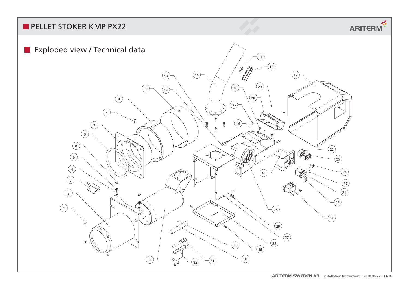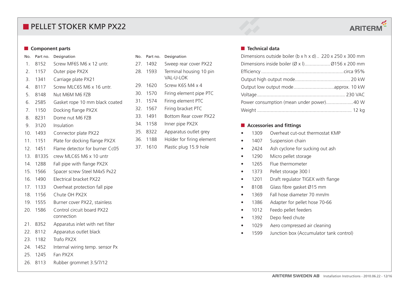# **ARITERM**

#### **Component parts**

## No. Part no. Designation

- 1. 8152 Screw MF6S M6 x 12 untr. 2. 1157 Outer pipe PX2X 3. 1341 Carriage plate PX21 4. 8117 Screw MLC6S M6 x 16 untr. 5. 8148 Nut M6M M6 FZB 6. 2585 Gasket rope 10 mm black coated 7. 1150 Docking flange PX2X 8. 8231 Dome nut M6 FZB 9. 3120 Insulation10. 1493 Connector plate PX22 11. 1151 Plate for docking flange PX2X 12. 1451 Flame detector for burner Cc0513. 8133S crew MLC6S M6 x 10 untr14. 1288 Fall pipe with flange PX2X 15. 1566 Spacer screw Steel M4x5 Px22 16. 1490 Electrical bracket PX2217. 1133 Overheat protection fall pipe 18. 1156 Chute OH PX2X19. 1555 Burner cover PX22, stainless 20. 1586 Control circuit board PX22
- connection
- 21. 8352 Apparatus inlet with net filter
- 22. 8112 Apparatus outlet black
- 23. 1182 Trafo PX2X
- 24. 1452 Internal wiring temp. sensor Px
- 25. 1245 Fan PX2X
- 26. 8113 Rubber grommet 3.5/7/12

| No. | Part no. | Designation                           |
|-----|----------|---------------------------------------|
|     | 27. 1492 | Sweep rear cover PX22                 |
| 28. | 1593     | Terminal housing 10 pin<br>VAI -U-LOK |
| 29. | 1620     | Screw K6S M4 x 4                      |
| 30. | 1570     | Firing element pipe PTC               |
|     | 31. 1574 | Firing element PTC                    |
| 32. | 1567     | Firing bracket PTC                    |
| 33. | 1491     | Bottom Rear cover PX22                |
| 34. | 1158     | Inner pipe PX2X                       |
| 35. | 8322     | Apparatus outlet grey                 |
| 36. | 1188     | Holder for firing element             |
|     | 37. 1610 | Plastic plug 15.9 hole                |

### **Technical data**

| Dimensions outside boiler (b x h x d) 220 x 250 x 300 mm |  |
|----------------------------------------------------------|--|
|                                                          |  |
|                                                          |  |
|                                                          |  |
|                                                          |  |
|                                                          |  |
|                                                          |  |
|                                                          |  |

## **Accessories and fittings**

- 1309 Overheat cut-out thermostat KMP
- 1407 Suspension chain
- 2424 Ash cyclone for sucking out ash
- 1290 Micro pellet storage
- 1265 Flue thermometer
- 1373 Pellet storage 300 l
- 1201 Draft regulator TIGEX with flange
- 8108 Glass fibre gasket Ø15 mm
- 1369 Fall hose diameter 70 mm/m
- 1386 Adapter for pellet hose 70-66
- 1012 Feedo pellet feeders
- 1392 Depo feed chute
- 1029 Aero compressed air cleaning
- 1599 Junction box (Accumulator tank control)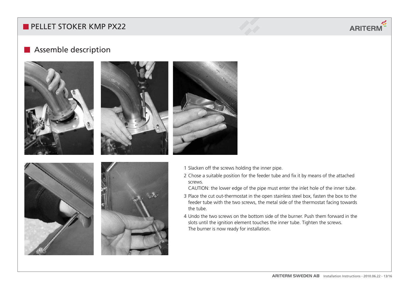# **ARITERM**

## **Assemble description**







- 1 Slacken off the screws holding the inner pipe.
- 2 Chose a suitable position for the feeder tube and fix it by means of the attached screws.
- CAUTION: the lower edge of the pipe must enter the inlet hole of the inner tube.
- 3 Place the cut out-thermostat in the open stainless steel box, fasten the box to the feeder tube with the two screws, the metal side of the thermostat facing towards the tube.
- 4 Undo the two screws on the bottom side of the burner. Push them forward in the slots until the ignition element touches the inner tube. Tighten the screws. The burner is now ready for installation.



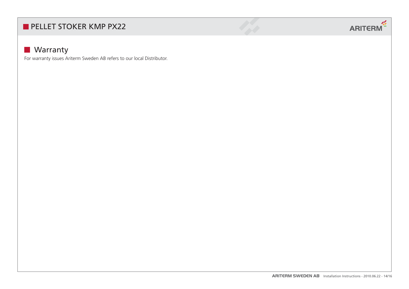

## **Warranty**

For warranty issues Ariterm Sweden AB refers to our local Distributor.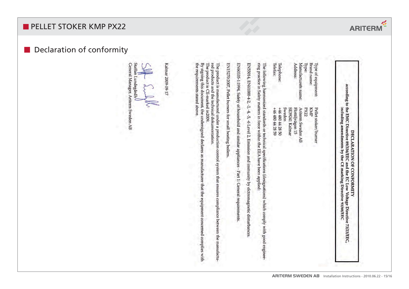## Declaration of conformity

Kalmar 2009-09-17

Staffan Lundegårdh<sup>l</sup>

General Manager, Ariterm Sweden AB

| Telephone:<br>Type:<br>Ariterm Sweden AB<br>KMP<br>PX22<br>Sweden<br>Flottljvägen 15<br>SE39241 Kalmar<br>$+46480442859$<br>+46 480 44 28 50 | Type of equipment: | Pellet stoker/burner |  |
|----------------------------------------------------------------------------------------------------------------------------------------------|--------------------|----------------------|--|
|                                                                                                                                              | Brand name:        |                      |  |
|                                                                                                                                              |                    |                      |  |
|                                                                                                                                              | Manufacturefs name |                      |  |
|                                                                                                                                              | Address:           |                      |  |
|                                                                                                                                              |                    |                      |  |
|                                                                                                                                              |                    |                      |  |
|                                                                                                                                              |                    |                      |  |
|                                                                                                                                              | Telefax:           |                      |  |

The following harmonized standards or technical specifications (designations) which comply with good engineering practice in Safety matters in force within the EEA have been applied:

EN55014, EN61000-4-2, -3, -4, -5, -6 Level 2, Emission and immunity by elctromagnetic disturbances

EN60335-1:1994, Safety of household and similar appliances - Part 1: General requirements

EN15270:2007, Pellet burners for small heating boilers

The product is manufactured under a production control system that ensures compliance between the manufactured products and the technical dokumentation.<br>The product is CE-marked in2009.<br>The product is CE-marked in2009.

the requirements stated above By signing this document, the undersigned declares as manufacturer that the equipment concerned complies with

**ARITERM SWEDEN AB** Installation Instructions - 2010.06.22 - 15/16

according to the EMC Directive 89/336/EEC and the EC Low Voltage Directive 73/23/EEC

DECLARATION OF CONFORMITY

including amendments by the CE marking Directive 93/68/EEC

 $\frac{1}{2}$ 

**ARITERM**